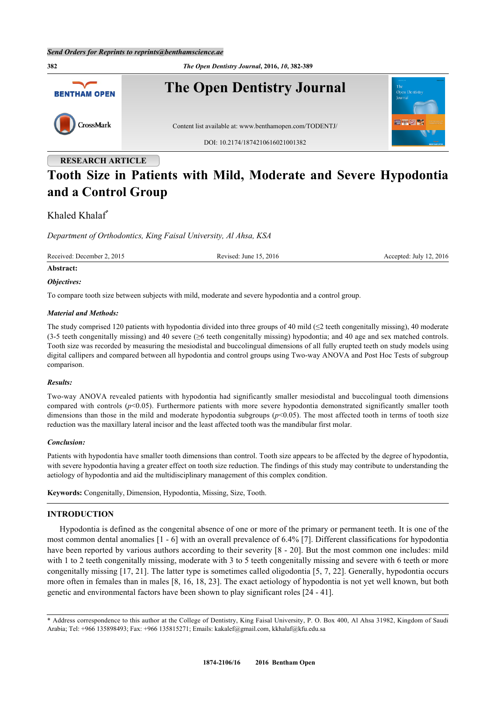**382** *The Open Dentistry Journal***, 2016,** *10***, 382-389 The Open Dentistry Journal BENTHAM OPEN** CrossMark Content list available at: [www.benthamopen.com/TODENTJ/](http://www.benthamopen.com/TODENTJ/) DOI: [10.2174/1874210616021001382](http://dx.doi.org/10.2174/1874210616021001382) **RESEARCH ARTICLE**

# **Tooth Size in Patients with Mild, Moderate and Severe Hypodontia and a Control Group**

# Khaled Khalaf[\\*](#page--1-0)

*Department of Orthodontics, King Faisal University, Al Ahsa, KSA*

Received: December 2, 2015 Revised: June 15, 2016 Revised: July 12, 2016

# **Abstract:**

#### *Objectives:*

To compare tooth size between subjects with mild, moderate and severe hypodontia and a control group.

#### *Material and Methods:*

The study comprised 120 patients with hypodontia divided into three groups of 40 mild  $(\leq 2$  teeth congenitally missing), 40 moderate (3-5 teeth congenitally missing) and 40 severe (≥6 teeth congenitally missing) hypodontia; and 40 age and sex matched controls. Tooth size was recorded by measuring the mesiodistal and buccolingual dimensions of all fully erupted teeth on study models using digital callipers and compared between all hypodontia and control groups using Two-way ANOVA and Post Hoc Tests of subgroup comparison.

#### *Results:*

Two-way ANOVA revealed patients with hypodontia had significantly smaller mesiodistal and buccolingual tooth dimensions compared with controls ( $p$ <0.05). Furthermore patients with more severe hypodontia demonstrated significantly smaller tooth dimensions than those in the mild and moderate hypodontia subgroups ( $p$ <0.05). The most affected tooth in terms of tooth size reduction was the maxillary lateral incisor and the least affected tooth was the mandibular first molar.

#### *Conclusion:*

Patients with hypodontia have smaller tooth dimensions than control. Tooth size appears to be affected by the degree of hypodontia, with severe hypodontia having a greater effect on tooth size reduction. The findings of this study may contribute to understanding the aetiology of hypodontia and aid the multidisciplinary management of this complex condition.

**Keywords:** Congenitally, Dimension, Hypodontia, Missing, Size, Tooth.

# **INTRODUCTION**

Hypodontia is defined as the congenital absence of one or more of the primary or permanent teeth. It is one of the most common dental anomalies [[1](#page-5-0) - [6](#page-5-1)] with an overall prevalence of 6.4% [[7](#page-5-2)]. Different classifications for hypodontia have been reported by various authors according to their severity [\[8](#page-5-3) - [20](#page-6-0)]. But the most common one includes: mild with 1 to 2 teeth congenitally missing, moderate with 3 to 5 teeth congenitally missing and severe with 6 teeth or more congenitally missing [\[17](#page-6-1), [21\]](#page-6-2). The latter type is sometimes called oligodontia [[5](#page-5-4), [7](#page-5-2), [22\]](#page-6-3). Generally, hypodontia occurs more often in females than in males [\[8](#page-5-3), [16,](#page-6-4) [18](#page-6-5), [23](#page-6-6)]. The exact aetiology of hypodontia is not yet well known, but both genetic and environmental factors have been shown to play significant roles [\[24](#page-6-7) - [41\]](#page-7-0).

<sup>\*</sup> Address correspondence to this author at the College of Dentistry, King Faisal University, P. O. Box 400, Al Ahsa 31982, Kingdom of Saudi Arabia; Tel: +966 135898493; Fax: +966 135815271; Emails: [kakalef@gmail.com,](mailto:kakalef@gmail.com) [kkhalaf@kfu.edu.sa](mailto:kkhalaf@kfu.edu.sa)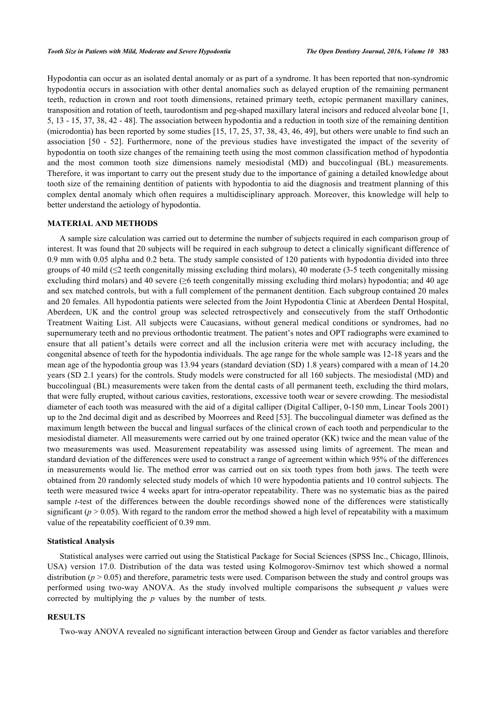Hypodontia can occur as an isolated dental anomaly or as part of a syndrome. It has been reported that non-syndromic hypodontia occurs in association with other dental anomalies such as delayed eruption of the remaining permanent teeth, reduction in crown and root tooth dimensions, retained primary teeth, ectopic permanent maxillary canines, transposition and rotation of teeth, taurodontism and peg-shaped maxillary lateral incisors and reduced alveolar bone [\[1](#page-5-0), [5,](#page-5-4) [13](#page-5-5) - [15](#page-6-8), [37,](#page-7-1) [38,](#page-7-2) [42](#page-7-3) - [48](#page-7-4)]. The association between hypodontia and a reduction in tooth size of the remaining dentition (microdontia) has been reported by some studies [\[15](#page-6-8), [17](#page-6-1), [25,](#page-6-9) [37,](#page-7-1) [38](#page-7-2), [43](#page-7-5), [46,](#page-7-6) [49\]](#page-7-7), but others were unable to find such an association[[50](#page-7-8) - [52](#page-7-9)]. Furthermore, none of the previous studies have investigated the impact of the severity of hypodontia on tooth size changes of the remaining teeth using the most common classification method of hypodontia and the most common tooth size dimensions namely mesiodistal (MD) and buccolingual (BL) measurements. Therefore, it was important to carry out the present study due to the importance of gaining a detailed knowledge about tooth size of the remaining dentition of patients with hypodontia to aid the diagnosis and treatment planning of this complex dental anomaly which often requires a multidisciplinary approach. Moreover, this knowledge will help to better understand the aetiology of hypodontia.

## **MATERIAL AND METHODS**

A sample size calculation was carried out to determine the number of subjects required in each comparison group of interest. It was found that 20 subjects will be required in each subgroup to detect a clinically significant difference of 0.9 mm with 0.05 alpha and 0.2 beta. The study sample consisted of 120 patients with hypodontia divided into three groups of 40 mild ( $\leq$  teeth congenitally missing excluding third molars), 40 moderate (3-5 teeth congenitally missing excluding third molars) and 40 severe (≥6 teeth congenitally missing excluding third molars) hypodontia; and 40 age and sex matched controls, but with a full complement of the permanent dentition. Each subgroup contained 20 males and 20 females. All hypodontia patients were selected from the Joint Hypodontia Clinic at Aberdeen Dental Hospital, Aberdeen, UK and the control group was selected retrospectively and consecutively from the staff Orthodontic Treatment Waiting List. All subjects were Caucasians, without general medical conditions or syndromes, had no supernumerary teeth and no previous orthodontic treatment. The patient's notes and OPT radiographs were examined to ensure that all patient's details were correct and all the inclusion criteria were met with accuracy including, the congenital absence of teeth for the hypodontia individuals. The age range for the whole sample was 12-18 years and the mean age of the hypodontia group was 13.94 years (standard deviation (SD) 1.8 years) compared with a mean of 14.20 years (SD 2.1 years) for the controls. Study models were constructed for all 160 subjects. The mesiodistal (MD) and buccolingual (BL) measurements were taken from the dental casts of all permanent teeth, excluding the third molars, that were fully erupted, without carious cavities, restorations, excessive tooth wear or severe crowding. The mesiodistal diameter of each tooth was measured with the aid of a digital calliper (Digital Calliper, 0-150 mm, Linear Tools 2001) up to the 2nd decimal digit and as described by Moorrees and Reed [[53](#page-7-10)]. The buccolingual diameter was defined as the maximum length between the buccal and lingual surfaces of the clinical crown of each tooth and perpendicular to the mesiodistal diameter. All measurements were carried out by one trained operator (KK) twice and the mean value of the two measurements was used. Measurement repeatability was assessed using limits of agreement. The mean and standard deviation of the differences were used to construct a range of agreement within which 95% of the differences in measurements would lie. The method error was carried out on six tooth types from both jaws. The teeth were obtained from 20 randomly selected study models of which 10 were hypodontia patients and 10 control subjects. The teeth were measured twice 4 weeks apart for intra-operator repeatability. There was no systematic bias as the paired sample *t*-test of the differences between the double recordings showed none of the differences were statistically significant  $(p > 0.05)$ . With regard to the random error the method showed a high level of repeatability with a maximum value of the repeatability coefficient of 0.39 mm.

#### **Statistical Analysis**

Statistical analyses were carried out using the Statistical Package for Social Sciences (SPSS Inc., Chicago, Illinois, USA) version 17.0. Distribution of the data was tested using Kolmogorov-Smirnov test which showed a normal distribution ( $p > 0.05$ ) and therefore, parametric tests were used. Comparison between the study and control groups was performed using two-way ANOVA. As the study involved multiple comparisons the subsequent *p* values were corrected by multiplying the *p* values by the number of tests.

#### **RESULTS**

Two-way ANOVA revealed no significant interaction between Group and Gender as factor variables and therefore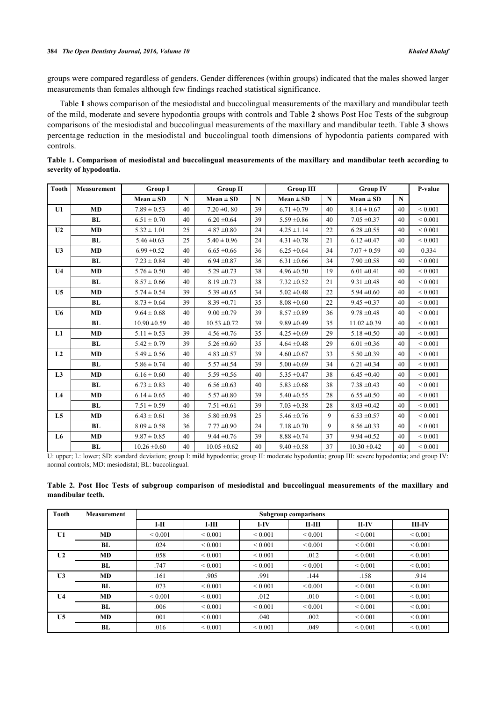groups were compared regardless of genders. Gender differences (within groups) indicated that the males showed larger measurements than females although few findings reached statistical significance.

Table **[1](#page-2-0)** shows comparison of the mesiodistal and buccolingual measurements of the maxillary and mandibular teeth of the mild, moderate and severe hypodontia groups with controls and Table **[2](#page-2-1)** shows Post Hoc Tests of the subgroup comparisons of the mesiodistal and buccolingual measurements of the maxillary and mandibular teeth. Table **[3](#page-3-0)** shows percentage reduction in the mesiodistal and buccolingual tooth dimensions of hypodontia patients compared with controls.

| <b>Tooth</b>   | <b>Measurement</b> | <b>Group I</b>   |             | <b>Group II</b>  |             | <b>Group III</b> |              | <b>Group IV</b>  |             | P-value      |
|----------------|--------------------|------------------|-------------|------------------|-------------|------------------|--------------|------------------|-------------|--------------|
|                |                    | $Mean \pm SD$    | $\mathbf N$ | $Mean \pm SD$    | $\mathbf N$ | $Mean \pm SD$    | $\mathbf{N}$ | $Mean \pm SD$    | $\mathbf N$ |              |
| U1             | <b>MD</b>          | $7.89 \pm 0.53$  | 40          | $7.20 \pm 0.80$  | 39          | $6.71 \pm 0.79$  | 40           | $8.14 \pm 0.67$  | 40          | ${}_{0.001}$ |
|                | BL                 | $6.51 \pm 0.70$  | 40          | $6.20 \pm 0.64$  | 39          | $5.59 \pm 0.86$  | 40           | $7.05 \pm 0.37$  | 40          | ${}_{0.001}$ |
| U <sub>2</sub> | <b>MD</b>          | $5.32 \pm 1.01$  | 25          | $4.87 \pm 0.80$  | 24          | $4.25 \pm 1.14$  | 22           | $6.28 \pm 0.55$  | 40          | ${}< 0.001$  |
|                | BL                 | $5.46 \pm 0.63$  | 25          | $5.40 \pm 0.96$  | 24          | $4.31 \pm 0.78$  | 21           | $6.12 \pm 0.47$  | 40          | ${}_{0.001}$ |
| U <sub>3</sub> | <b>MD</b>          | $6.99 \pm 0.52$  | 40          | $6.65 \pm 0.66$  | 36          | $6.25 \pm 0.64$  | 34           | $7.07 \pm 0.59$  | 40          | 0.334        |
|                | <b>BL</b>          | $7.23 \pm 0.84$  | 40          | $6.94 \pm 0.87$  | 36          | $6.31 \pm 0.66$  | 34           | $7.90 \pm 0.58$  | 40          | ${}_{0.001}$ |
| U <sub>4</sub> | <b>MD</b>          | $5.76 \pm 0.50$  | 40          | $5.29 \pm 0.73$  | 38          | $4.96 \pm 0.50$  | 19           | $6.01 \pm 0.41$  | 40          | ${}_{0.001}$ |
|                | BL                 | $8.57 \pm 0.66$  | 40          | $8.19 \pm 0.73$  | 38          | $7.32 \pm 0.52$  | 21           | $9.31 \pm 0.48$  | 40          | ${}_{0.001}$ |
| U <sub>5</sub> | <b>MD</b>          | $5.74 \pm 0.54$  | 39          | $5.39 \pm 0.65$  | 34          | $5.02 \pm 0.48$  | 22           | $5.94 \pm 0.60$  | 40          | ${}< 0.001$  |
|                | BL                 | $8.73 \pm 0.64$  | 39          | $8.39 \pm 0.71$  | 35          | $8.08 \pm 0.60$  | 22           | $9.45 \pm 0.37$  | 40          | ${}_{0.001}$ |
| U <sub>6</sub> | <b>MD</b>          | $9.64 \pm 0.68$  | 40          | $9.00 \pm 0.79$  | 39          | $8.57 \pm 0.89$  | 36           | $9.78 \pm 0.48$  | 40          | ${}_{0.001}$ |
|                | <b>BL</b>          | $10.90 \pm 0.59$ | 40          | $10.53 \pm 0.72$ | 39          | $9.89 \pm 0.49$  | 35           | $11.02 \pm 0.39$ | 40          | ${}_{0.001}$ |
| L1             | <b>MD</b>          | $5.11 \pm 0.53$  | 39          | $4.56 \pm 0.76$  | 35          | $4.25 \pm 0.69$  | 29           | $5.18 \pm 0.50$  | 40          | ${}_{0.001}$ |
|                | BL                 | $5.42 \pm 0.79$  | 39          | $5.26 \pm 0.60$  | 35          | $4.64 \pm 0.48$  | 29           | $6.01 \pm 0.36$  | 40          | ${}_{0.001}$ |
| L2             | <b>MD</b>          | $5.49 \pm 0.56$  | 40          | $4.83 \pm 0.57$  | 39          | $4.60 \pm 0.67$  | 33           | $5.50 \pm 0.39$  | 40          | ${}_{0.001}$ |
|                | BL                 | $5.86 \pm 0.74$  | 40          | $5.57 \pm 0.54$  | 39          | $5.00 \pm 0.69$  | 34           | $6.21 \pm 0.34$  | 40          | ${}_{0.001}$ |
| L <sub>3</sub> | <b>MD</b>          | $6.16 \pm 0.60$  | 40          | $5.59 \pm 0.56$  | 40          | $5.35 \pm 0.47$  | 38           | $6.45 \pm 0.40$  | 40          | ${}_{0.001}$ |
|                | BL                 | $6.73 \pm 0.83$  | 40          | $6.56 \pm 0.63$  | 40          | $5.83 \pm 0.68$  | 38           | $7.38 \pm 0.43$  | 40          | ${}_{0.001}$ |
| L4             | <b>MD</b>          | $6.14 \pm 0.65$  | 40          | $5.57 \pm 0.80$  | 39          | $5.40 \pm 0.55$  | 28           | $6.55 \pm 0.50$  | 40          | ${}_{0.001}$ |
|                | <b>BL</b>          | $7.51 \pm 0.59$  | 40          | $7.51 \pm 0.61$  | 39          | $7.03 \pm 0.38$  | 28           | $8.03 \pm 0.42$  | 40          | ${}_{0.001}$ |
| L <sub>5</sub> | <b>MD</b>          | $6.43 \pm 0.61$  | 36          | $5.80 \pm 0.98$  | 25          | $5.46 \pm 0.76$  | 9            | $6.53 \pm 0.57$  | 40          | ${}_{0.001}$ |
|                | <b>BL</b>          | $8.09 \pm 0.58$  | 36          | $7.77 \pm 0.90$  | 24          | $7.18 \pm 0.70$  | 9            | $8.56 \pm 0.33$  | 40          | ${}_{0.001}$ |
| L <sub>6</sub> | <b>MD</b>          | $9.87 \pm 0.85$  | 40          | $9.44 \pm 0.76$  | 39          | $8.88 \pm 0.74$  | 37           | $9.94 \pm 0.52$  | 40          | ${}_{0.001}$ |
|                | BL                 | $10.26 \pm 0.60$ | 40          | $10.05 \pm 0.62$ | 40          | $9.40 \pm 0.58$  | 37           | $10.30 \pm 0.42$ | 40          | ${}_{0.001}$ |

<span id="page-2-0"></span>

| Table 1. Comparison of mesiodistal and buccolingual measurements of the maxillary and mandibular teeth according to |  |  |  |  |  |
|---------------------------------------------------------------------------------------------------------------------|--|--|--|--|--|
| severity of hypodontia.                                                                                             |  |  |  |  |  |

U: upper; L: lower; SD: standard deviation; group I: mild hypodontia; group II: moderate hypodontia; group III: severe hypodontia; and group IV: normal controls; MD: mesiodistal; BL: buccolingual.

<span id="page-2-1"></span>

|                   | Table 2. Post Hoc Tests of subgroup comparison of mesiodistal and buccolingual measurements of the maxillary and |  |  |  |  |
|-------------------|------------------------------------------------------------------------------------------------------------------|--|--|--|--|
| mandibular teeth. |                                                                                                                  |  |  |  |  |

| Tooth          | <b>Measurement</b> | <b>Subgroup comparisons</b> |              |              |              |              |              |  |  |  |
|----------------|--------------------|-----------------------------|--------------|--------------|--------------|--------------|--------------|--|--|--|
|                |                    | $I-II$                      | $I-III$      | $I-IV$       | н-ш          | $II$ -IV     | $III$ -IV    |  |  |  |
| U1             | MD                 | ${}_{0.001}$                | ${}_{0.001}$ | ${}_{0.001}$ | ${}_{0.001}$ | ${}_{0.001}$ | ${}_{0.001}$ |  |  |  |
|                | BL                 | .024                        | ${}_{0.001}$ | ${}_{0.001}$ | ${}_{0.001}$ | ${}_{0.001}$ | ${}_{0.001}$ |  |  |  |
| U <sub>2</sub> | MD                 | .058                        | ${}_{0.001}$ | ${}_{0.001}$ | .012         | ${}_{0.001}$ | ${}_{0.001}$ |  |  |  |
|                | BL                 | .747                        | ${}_{0.001}$ | ${}_{0.001}$ | ${}_{0.001}$ | ${}_{0.001}$ | ${}_{0.001}$ |  |  |  |
| U <sub>3</sub> | MD                 | .161                        | .905         | .991         | .144         | .158         | .914         |  |  |  |
|                | BL                 | .073                        | ${}_{0.001}$ | ${}_{0.001}$ | ${}_{0.001}$ | ${}_{0.001}$ | ${}_{0.001}$ |  |  |  |
| U <sub>4</sub> | MD                 | ${}_{0.001}$                | ${}_{0.001}$ | .012         | .010         | ${}_{0.001}$ | ${}_{0.001}$ |  |  |  |
|                | BL                 | .006                        | ${}_{0.001}$ | ${}_{0.001}$ | ${}_{0.001}$ | ${}_{0.001}$ | ${}_{0.001}$ |  |  |  |
| U <sub>5</sub> | MD                 | .001                        | ${}_{0.001}$ | .040         | .002         | ${}_{0.001}$ | ${}_{0.001}$ |  |  |  |
|                | BL                 | .016                        | ${}_{0.001}$ | ${}_{0.001}$ | .049         | ${}_{0.001}$ | ${}_{0.001}$ |  |  |  |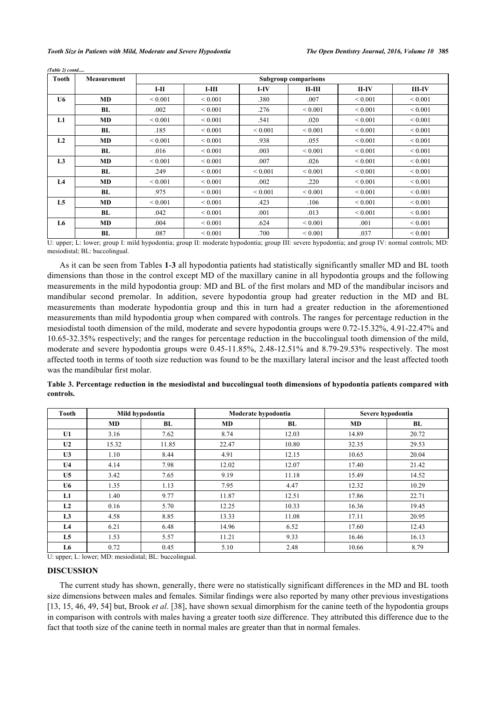*(Table 2) contd.....*

| Tooth          | <b>Measurement</b> | <b>Subgroup comparisons</b> |              |              |              |              |              |  |  |
|----------------|--------------------|-----------------------------|--------------|--------------|--------------|--------------|--------------|--|--|
|                |                    | $I-II$                      | $I-III$      | $I-IV$       | $II-III$     | $II$ -IV     | $III$ -IV    |  |  |
| U6             | MD                 | ${}_{0.001}$                | ${}_{0.001}$ | .380         | .007         | ${}_{0.001}$ | ${}_{0.001}$ |  |  |
|                | BL                 | .002                        | ${}_{0.001}$ | .276         | ${}_{0.001}$ | ${}_{0.001}$ | ${}_{0.001}$ |  |  |
| L1             | <b>MD</b>          | ${}_{0.001}$                | ${}_{0.001}$ | .541         | .020         | ${}_{0.001}$ | ${}_{0.001}$ |  |  |
|                | BL                 | .185                        | ${}_{0.001}$ | ${}_{0.001}$ | ${}_{0.001}$ | ${}_{0.001}$ | ${}_{0.001}$ |  |  |
| L2             | <b>MD</b>          | ${}_{0.001}$                | ${}_{0.001}$ | .938         | .055         | ${}_{0.001}$ | ${}_{0.001}$ |  |  |
|                | <b>BL</b>          | .016                        | ${}_{0.001}$ | .003         | ${}_{0.001}$ | ${}_{0.001}$ | ${}_{0.001}$ |  |  |
| L <sub>3</sub> | <b>MD</b>          | ${}_{0.001}$                | ${}_{0.001}$ | .007         | .026         | ${}_{0.001}$ | ${}_{0.001}$ |  |  |
|                | BL                 | .249                        | ${}_{0.001}$ | ${}_{0.001}$ | ${}_{0.001}$ | ${}_{0.001}$ | ${}_{0.001}$ |  |  |
| L <sub>4</sub> | <b>MD</b>          | ${}_{0.001}$                | ${}_{0.001}$ | .002         | .220         | ${}< 0.001$  | ${}< 0.001$  |  |  |
|                | BL                 | .975                        | ${}_{0.001}$ | ${}_{0.001}$ | ${}_{0.001}$ | ${}_{0.001}$ | ${}_{0.001}$ |  |  |
| L <sub>5</sub> | <b>MD</b>          | ${}_{0.001}$                | ${}_{0.001}$ | .423         | .106         | ${}_{0.001}$ | ${}_{0.001}$ |  |  |
|                | BL                 | .042                        | ${}_{0.001}$ | .001         | .013         | ${}_{0.001}$ | ${}_{0.001}$ |  |  |
| L6             | MD                 | .004                        | ${}_{0.001}$ | .624         | ${}< 0.001$  | .001         | ${}< 0.001$  |  |  |
|                | BL                 | .087                        | ${}< 0.001$  | .700         | ${}< 0.001$  | .037         | ${}< 0.001$  |  |  |

U: upper; L: lower; group I: mild hypodontia; group II: moderate hypodontia; group III: severe hypodontia; and group IV: normal controls; MD: mesiodistal; BL: buccolingual.

As it can be seen from Tables **[1](#page-2-0)**-**[3](#page-3-0)** all hypodontia patients had statistically significantly smaller MD and BL tooth dimensions than those in the control except MD of the maxillary canine in all hypodontia groups and the following measurements in the mild hypodontia group: MD and BL of the first molars and MD of the mandibular incisors and mandibular second premolar. In addition, severe hypodontia group had greater reduction in the MD and BL measurements than moderate hypodontia group and this in turn had a greater reduction in the aforementioned measurements than mild hypodontia group when compared with controls. The ranges for percentage reduction in the mesiodistal tooth dimension of the mild, moderate and severe hypodontia groups were 0.72-15.32%, 4.91-22.47% and 10.65-32.35% respectively; and the ranges for percentage reduction in the buccolingual tooth dimension of the mild, moderate and severe hypodontia groups were 0.45-11.85%, 2.48-12.51% and 8.79-29.53% respectively. The most affected tooth in terms of tooth size reduction was found to be the maxillary lateral incisor and the least affected tooth was the mandibular first molar.

<span id="page-3-0"></span>

|           | Table 3. Percentage reduction in the mesiodistal and buccolingual tooth dimensions of hypodontia patients compared with |  |  |  |
|-----------|-------------------------------------------------------------------------------------------------------------------------|--|--|--|
| controls. |                                                                                                                         |  |  |  |

| <b>Tooth</b>   | Mild hypodontia |       |       | Moderate hypodontia | Severe hypodontia |       |  |
|----------------|-----------------|-------|-------|---------------------|-------------------|-------|--|
|                | MD              | BL    | MD    | BL                  | MD                | BL    |  |
| U1             | 3.16            | 7.62  | 8.74  | 12.03               | 14.89             | 20.72 |  |
| U <sub>2</sub> | 15.32           | 11.85 | 22.47 | 10.80               | 32.35             | 29.53 |  |
| U <sub>3</sub> | 1.10            | 8.44  | 4.91  | 12.15               | 10.65             | 20.04 |  |
| U <sub>4</sub> | 4.14            | 7.98  | 12.02 | 12.07               | 17.40             | 21.42 |  |
| U <sub>5</sub> | 3.42            | 7.65  | 9.19  | 11.18               | 15.49             | 14.52 |  |
| U6             | 1.35            | 1.13  | 7.95  | 4.47                | 12.32             | 10.29 |  |
| L1             | 1.40            | 9.77  | 11.87 | 12.51               | 17.86             | 22.71 |  |
| L2             | 0.16            | 5.70  | 12.25 | 10.33               | 16.36             | 19.45 |  |
| L <sub>3</sub> | 4.58            | 8.85  | 13.33 | 11.08               | 17.11             | 20.95 |  |
| L4             | 6.21            | 6.48  | 14.96 | 6.52                | 17.60             | 12.43 |  |
| L5             | 1.53            | 5.57  | 11.21 | 9.33                | 16.46             | 16.13 |  |
| L6             | 0.72            | 0.45  | 5.10  | 2.48                | 10.66             | 8.79  |  |

U: upper; L: lower; MD: mesiodistal; BL: buccolingual.

## **DISCUSSION**

The current study has shown, generally, there were no statistically significant differences in the MD and BL tooth size dimensions between males and females. Similar findings were also reported by many other previous investigations [\[13](#page-5-5), [15](#page-6-8), [46](#page-7-6), [49,](#page-7-7) [54\]](#page-7-11) but, Brook *et al*. [[38\]](#page-7-2), have shown sexual dimorphism for the canine teeth of the hypodontia groups in comparison with controls with males having a greater tooth size difference. They attributed this difference due to the fact that tooth size of the canine teeth in normal males are greater than that in normal females.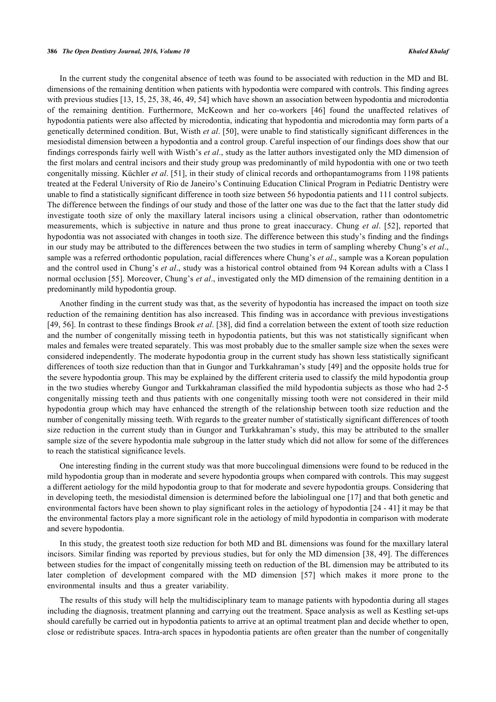In the current study the congenital absence of teeth was found to be associated with reduction in the MD and BL dimensions of the remaining dentition when patients with hypodontia were compared with controls. This finding agrees with previous studies [[13,](#page-5-5) [15,](#page-6-8) [25,](#page-6-9) [38,](#page-7-2) [46,](#page-7-6) [49,](#page-7-7) [54\]](#page-7-11) which have shown an association between hypodontia and microdontia of the remaining dentition. Furthermore, McKeown and her co-workers[[46](#page-7-6)] found the unaffected relatives of hypodontia patients were also affected by microdontia, indicating that hypodontia and microdontia may form parts of a genetically determined condition. But, Wisth *et al*. [[50\]](#page-7-8), were unable to find statistically significant differences in the mesiodistal dimension between a hypodontia and a control group. Careful inspection of our findings does show that our findings corresponds fairly well with Wisth's *et al*., study as the latter authors investigated only the MD dimension of the first molars and central incisors and their study group was predominantly of mild hypodontia with one or two teeth congenitally missing. Küchler *et al*. [[51\]](#page-7-12), in their study of clinical records and orthopantamograms from 1198 patients treated at the Federal University of Rio de Janeiro's Continuing Education Clinical Program in Pediatric Dentistry were unable to find a statistically significant difference in tooth size between 56 hypodontia patients and 111 control subjects. The difference between the findings of our study and those of the latter one was due to the fact that the latter study did investigate tooth size of only the maxillary lateral incisors using a clinical observation, rather than odontometric measurements, which is subjective in nature and thus prone to great inaccuracy. Chung *et al*.[[52\]](#page-7-9), reported that hypodontia was not associated with changes in tooth size. The difference between this study's finding and the findings in our study may be attributed to the differences between the two studies in term of sampling whereby Chung's *et al*., sample was a referred orthodontic population, racial differences where Chung's *et al*., sample was a Korean population and the control used in Chung's *et al*., study was a historical control obtained from 94 Korean adults with a Class I normal occlusion [[55\]](#page-7-13). Moreover, Chung's *et al*., investigated only the MD dimension of the remaining dentition in a predominantly mild hypodontia group.

Another finding in the current study was that, as the severity of hypodontia has increased the impact on tooth size reduction of the remaining dentition has also increased. This finding was in accordance with previous investigations [\[49](#page-7-7), [56](#page-7-14)]. In contrast to these findings Brook *et al*. [\[38](#page-7-2)], did find a correlation between the extent of tooth size reduction and the number of congenitally missing teeth in hypodontia patients, but this was not statistically significant when males and females were treated separately. This was most probably due to the smaller sample size when the sexes were considered independently. The moderate hypodontia group in the current study has shown less statistically significant differences of tooth size reduction than that in Gungor and Turkkahraman's study [\[49](#page-7-7)] and the opposite holds true for the severe hypodontia group. This may be explained by the different criteria used to classify the mild hypodontia group in the two studies whereby Gungor and Turkkahraman classified the mild hypodontia subjects as those who had 2-5 congenitally missing teeth and thus patients with one congenitally missing tooth were not considered in their mild hypodontia group which may have enhanced the strength of the relationship between tooth size reduction and the number of congenitally missing teeth. With regards to the greater number of statistically significant differences of tooth size reduction in the current study than in Gungor and Turkkahraman's study, this may be attributed to the smaller sample size of the severe hypodontia male subgroup in the latter study which did not allow for some of the differences to reach the statistical significance levels.

One interesting finding in the current study was that more buccolingual dimensions were found to be reduced in the mild hypodontia group than in moderate and severe hypodontia groups when compared with controls. This may suggest a different aetiology for the mild hypodontia group to that for moderate and severe hypodontia groups. Considering that in developing teeth, the mesiodistal dimension is determined before the labiolingual one [\[17\]](#page-6-1) and that both genetic and environmental factors have been shown to play significant roles in the aetiology of hypodontia [[24](#page-6-7) - [41\]](#page-7-0) it may be that the environmental factors play a more significant role in the aetiology of mild hypodontia in comparison with moderate and severe hypodontia.

In this study, the greatest tooth size reduction for both MD and BL dimensions was found for the maxillary lateral incisors. Similar finding was reported by previous studies, but for only the MD dimension [[38](#page-7-2), [49](#page-7-7)]. The differences between studies for the impact of congenitally missing teeth on reduction of the BL dimension may be attributed to its later completion of development compared with the MD dimension[[57](#page-7-15)] which makes it more prone to the environmental insults and thus a greater variability.

The results of this study will help the multidisciplinary team to manage patients with hypodontia during all stages including the diagnosis, treatment planning and carrying out the treatment. Space analysis as well as Kestling set-ups should carefully be carried out in hypodontia patients to arrive at an optimal treatment plan and decide whether to open, close or redistribute spaces. Intra-arch spaces in hypodontia patients are often greater than the number of congenitally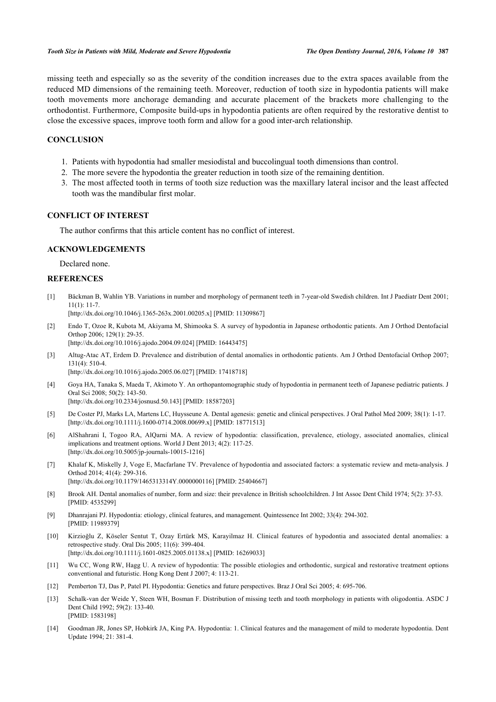missing teeth and especially so as the severity of the condition increases due to the extra spaces available from the reduced MD dimensions of the remaining teeth. Moreover, reduction of tooth size in hypodontia patients will make tooth movements more anchorage demanding and accurate placement of the brackets more challenging to the orthodontist. Furthermore, Composite build-ups in hypodontia patients are often required by the restorative dentist to close the excessive spaces, improve tooth form and allow for a good inter-arch relationship.

# **CONCLUSION**

- 1. Patients with hypodontia had smaller mesiodistal and buccolingual tooth dimensions than control.
- 2. The more severe the hypodontia the greater reduction in tooth size of the remaining dentition.
- 3. The most affected tooth in terms of tooth size reduction was the maxillary lateral incisor and the least affected tooth was the mandibular first molar.

# **CONFLICT OF INTEREST**

The author confirms that this article content has no conflict of interest.

# **ACKNOWLEDGEMENTS**

Declared none.

# **REFERENCES**

<span id="page-5-0"></span>[1] Bäckman B, Wahlin YB. Variations in number and morphology of permanent teeth in 7-year-old Swedish children. Int J Paediatr Dent 2001;  $11(1): 11-7.$ 

[\[http://dx.doi.org/10.1046/j.1365-263x.2001.00205.x\]](http://dx.doi.org/10.1046/j.1365-263x.2001.00205.x) [PMID: [11309867](http://www.ncbi.nlm.nih.gov/pubmed/11309867)]

- [2] Endo T, Ozoe R, Kubota M, Akiyama M, Shimooka S. A survey of hypodontia in Japanese orthodontic patients. Am J Orthod Dentofacial Orthop 2006; 129(1): 29-35. [\[http://dx.doi.org/10.1016/j.ajodo.2004.09.024\]](http://dx.doi.org/10.1016/j.ajodo.2004.09.024) [PMID: [16443475](http://www.ncbi.nlm.nih.gov/pubmed/16443475)]
- [3] Altug-Atac AT, Erdem D. Prevalence and distribution of dental anomalies in orthodontic patients. Am J Orthod Dentofacial Orthop 2007;  $131(4)$ : 510-4.
	- [\[http://dx.doi.org/10.1016/j.ajodo.2005.06.027\]](http://dx.doi.org/10.1016/j.ajodo.2005.06.027) [PMID: [17418718](http://www.ncbi.nlm.nih.gov/pubmed/17418718)]
- [4] Goya HA, Tanaka S, Maeda T, Akimoto Y. An orthopantomographic study of hypodontia in permanent teeth of Japanese pediatric patients. J Oral Sci 2008; 50(2): 143-50. [\[http://dx.doi.org/10.2334/josnusd.50.143](http://dx.doi.org/10.2334/josnusd.50.143)] [PMID: [18587203\]](http://www.ncbi.nlm.nih.gov/pubmed/18587203)
- <span id="page-5-4"></span>[5] De Coster PJ, Marks LA, Martens LC, Huysseune A. Dental agenesis: genetic and clinical perspectives. J Oral Pathol Med 2009; 38(1): 1-17. [\[http://dx.doi.org/10.1111/j.1600-0714.2008.00699.x\]](http://dx.doi.org/10.1111/j.1600-0714.2008.00699.x) [PMID: [18771513](http://www.ncbi.nlm.nih.gov/pubmed/18771513)]
- <span id="page-5-1"></span>[6] AlShahrani I, Togoo RA, AlQarni MA. A review of hypodontia: classification, prevalence, etiology, associated anomalies, clinical implications and treatment options. World J Dent 2013; 4(2): 117-25. [\[http://dx.doi.org/10.5005/jp-journals-10015-1216\]](http://dx.doi.org/10.5005/jp-journals-10015-1216)
- <span id="page-5-2"></span>[7] Khalaf K, Miskelly J, Voge E, Macfarlane TV. Prevalence of hypodontia and associated factors: a systematic review and meta-analysis. J Orthod 2014; 41(4): 299-316. [\[http://dx.doi.org/10.1179/1465313314Y.0000000116\]](http://dx.doi.org/10.1179/1465313314Y.0000000116) [PMID: [25404667](http://www.ncbi.nlm.nih.gov/pubmed/25404667)]
- <span id="page-5-3"></span>[8] Brook AH. Dental anomalies of number, form and size: their prevalence in British schoolchildren. J Int Assoc Dent Child 1974; 5(2): 37-53. [PMID: [4535299\]](http://www.ncbi.nlm.nih.gov/pubmed/4535299)
- [9] Dhanrajani PJ. Hypodontia: etiology, clinical features, and management. Quintessence Int 2002; 33(4): 294-302. [PMID: [11989379\]](http://www.ncbi.nlm.nih.gov/pubmed/11989379)
- [10] Kirzioğlu Z, Köseler Sentut T, Ozay Ertürk MS, Karayilmaz H. Clinical features of hypodontia and associated dental anomalies: a retrospective study. Oral Dis 2005; 11(6): 399-404. [\[http://dx.doi.org/10.1111/j.1601-0825.2005.01138.x\]](http://dx.doi.org/10.1111/j.1601-0825.2005.01138.x) [PMID: [16269033](http://www.ncbi.nlm.nih.gov/pubmed/16269033)]
- [11] Wu CC, Wong RW, Hagg U. A review of hypodontia: The possible etiologies and orthodontic, surgical and restorative treatment options conventional and futuristic. Hong Kong Dent J 2007; 4: 113-21.
- [12] Pemberton TJ, Das P, Patel PI. Hypodontia: Genetics and future perspectives. Braz J Oral Sci 2005; 4: 695-706.
- <span id="page-5-5"></span>[13] Schalk-van der Weide Y, Steen WH, Bosman F. Distribution of missing teeth and tooth morphology in patients with oligodontia. ASDC J Dent Child 1992; 59(2): 133-40. [PMID: [1583198\]](http://www.ncbi.nlm.nih.gov/pubmed/1583198)
- [14] Goodman JR, Jones SP, Hobkirk JA, King PA. Hypodontia: 1. Clinical features and the management of mild to moderate hypodontia. Dent Update 1994; 21: 381-4.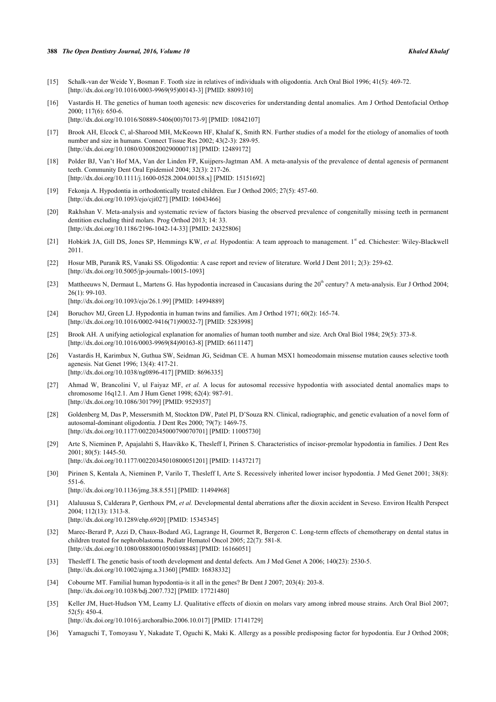#### **388** *The Open Dentistry Journal, 2016, Volume 10 Khaled Khalaf*

- <span id="page-6-8"></span>[15] Schalk-van der Weide Y, Bosman F. Tooth size in relatives of individuals with oligodontia. Arch Oral Biol 1996; 41(5): 469-72. [\[http://dx.doi.org/10.1016/0003-9969\(95\)00143-3](http://dx.doi.org/10.1016/0003-9969(95)00143-3)] [PMID: [8809310](http://www.ncbi.nlm.nih.gov/pubmed/8809310)]
- <span id="page-6-4"></span>[16] Vastardis H. The genetics of human tooth agenesis: new discoveries for understanding dental anomalies. Am J Orthod Dentofacial Orthop 2000; 117(6): 650-6.
	- [\[http://dx.doi.org/10.1016/S0889-5406\(00\)70173-9\]](http://dx.doi.org/10.1016/S0889-5406(00)70173-9) [PMID: [10842107](http://www.ncbi.nlm.nih.gov/pubmed/10842107)]
- <span id="page-6-1"></span>[17] Brook AH, Elcock C, al-Sharood MH, McKeown HF, Khalaf K, Smith RN. Further studies of a model for the etiology of anomalies of tooth number and size in humans. Connect Tissue Res 2002; 43(2-3): 289-95. [\[http://dx.doi.org/10.1080/03008200290000718\]](http://dx.doi.org/10.1080/03008200290000718) [PMID: [12489172](http://www.ncbi.nlm.nih.gov/pubmed/12489172)]
- <span id="page-6-5"></span>[18] Polder BJ, Van't Hof MA, Van der Linden FP, Kuijpers-Jagtman AM. A meta-analysis of the prevalence of dental agenesis of permanent teeth. Community Dent Oral Epidemiol 2004; 32(3): 217-26. [\[http://dx.doi.org/10.1111/j.1600-0528.2004.00158.x\]](http://dx.doi.org/10.1111/j.1600-0528.2004.00158.x) [PMID: [15151692](http://www.ncbi.nlm.nih.gov/pubmed/15151692)]
- [19] Fekonja A. Hypodontia in orthodontically treated children. Eur J Orthod 2005; 27(5): 457-60. [\[http://dx.doi.org/10.1093/ejo/cji027\]](http://dx.doi.org/10.1093/ejo/cji027) [PMID: [16043466](http://www.ncbi.nlm.nih.gov/pubmed/16043466)]
- <span id="page-6-0"></span>[20] Rakhshan V. Meta-analysis and systematic review of factors biasing the observed prevalence of congenitally missing teeth in permanent dentition excluding third molars. Prog Orthod 2013; 14: 33. [\[http://dx.doi.org/10.1186/2196-1042-14-33\]](http://dx.doi.org/10.1186/2196-1042-14-33) [PMID: [24325806](http://www.ncbi.nlm.nih.gov/pubmed/24325806)]
- <span id="page-6-2"></span>[21] Hobkirk JA, Gill DS, Jones SP, Hemmings KW, et al. Hypodontia: A team approach to management. 1<sup>st</sup> ed. Chichester: Wiley-Blackwell 2011.
- <span id="page-6-3"></span>[22] Hosur MB, Puranik RS, Vanaki SS. Oligodontia: A case report and review of literature. World J Dent 2011; 2(3): 259-62. [\[http://dx.doi.org/10.5005/jp-journals-10015-1093\]](http://dx.doi.org/10.5005/jp-journals-10015-1093)
- <span id="page-6-6"></span>[23] Mattheeuws N, Dermaut L, Martens G. Has hypodontia increased in Caucasians during the 20<sup>th</sup> century? A meta-analysis. Eur J Orthod 2004; 26(1): 99-103.
	- [\[http://dx.doi.org/10.1093/ejo/26.1.99\]](http://dx.doi.org/10.1093/ejo/26.1.99) [PMID: [14994889](http://www.ncbi.nlm.nih.gov/pubmed/14994889)]
- <span id="page-6-7"></span>[24] Boruchov MJ, Green LJ. Hypodontia in human twins and families. Am J Orthod 1971; 60(2): 165-74. [\[http://dx.doi.org/10.1016/0002-9416\(71\)90032-7](http://dx.doi.org/10.1016/0002-9416(71)90032-7)] [PMID: [5283998](http://www.ncbi.nlm.nih.gov/pubmed/5283998)]
- <span id="page-6-9"></span>[25] Brook AH. A unifying aetiological explanation for anomalies of human tooth number and size. Arch Oral Biol 1984; 29(5): 373-8. [\[http://dx.doi.org/10.1016/0003-9969\(84\)90163-8](http://dx.doi.org/10.1016/0003-9969(84)90163-8)] [PMID: [6611147](http://www.ncbi.nlm.nih.gov/pubmed/6611147)]
- [26] Vastardis H, Karimbux N, Guthua SW, Seidman JG, Seidman CE. A human MSX1 homeodomain missense mutation causes selective tooth agenesis. Nat Genet 1996; 13(4): 417-21. [\[http://dx.doi.org/10.1038/ng0896-417](http://dx.doi.org/10.1038/ng0896-417)] [PMID: [8696335](http://www.ncbi.nlm.nih.gov/pubmed/8696335)]
- [27] Ahmad W, Brancolini V, ul Faiyaz MF, *et al.* A locus for autosomal recessive hypodontia with associated dental anomalies maps to chromosome 16q12.1. Am J Hum Genet 1998; 62(4): 987-91. [\[http://dx.doi.org/10.1086/301799\]](http://dx.doi.org/10.1086/301799) [PMID: [9529357](http://www.ncbi.nlm.nih.gov/pubmed/9529357)]
- [28] Goldenberg M, Das P, Messersmith M, Stockton DW, Patel PI, D'Souza RN. Clinical, radiographic, and genetic evaluation of a novel form of autosomal-dominant oligodontia. J Dent Res 2000; 79(7): 1469-75. [\[http://dx.doi.org/10.1177/00220345000790070701\]](http://dx.doi.org/10.1177/00220345000790070701) [PMID: [11005730](http://www.ncbi.nlm.nih.gov/pubmed/11005730)]
- [29] Arte S, Nieminen P, Apajalahti S, Haavikko K, Thesleff I, Pirinen S. Characteristics of incisor-premolar hypodontia in families. J Dent Res 2001; 80(5): 1445-50. [\[http://dx.doi.org/10.1177/00220345010800051201\]](http://dx.doi.org/10.1177/00220345010800051201) [PMID: [11437217](http://www.ncbi.nlm.nih.gov/pubmed/11437217)]
- [30] Pirinen S, Kentala A, Nieminen P, Varilo T, Thesleff I, Arte S. Recessively inherited lower incisor hypodontia. J Med Genet 2001; 38(8): 551-6. [\[http://dx.doi.org/10.1136/jmg.38.8.551](http://dx.doi.org/10.1136/jmg.38.8.551)] [PMID: [11494968\]](http://www.ncbi.nlm.nih.gov/pubmed/11494968)
- [31] Alaluusua S, Calderara P, Gerthoux PM, *et al.* Developmental dental aberrations after the dioxin accident in Seveso. Environ Health Perspect 2004; 112(13): 1313-8. [\[http://dx.doi.org/10.1289/ehp.6920](http://dx.doi.org/10.1289/ehp.6920)] [PMID: [15345345\]](http://www.ncbi.nlm.nih.gov/pubmed/15345345)
- [32] Marec-Berard P, Azzi D, Chaux-Bodard AG, Lagrange H, Gourmet R, Bergeron C. Long-term effects of chemotherapy on dental status in children treated for nephroblastoma. Pediatr Hematol Oncol 2005; 22(7): 581-8. [\[http://dx.doi.org/10.1080/08880010500198848\]](http://dx.doi.org/10.1080/08880010500198848) [PMID: [16166051](http://www.ncbi.nlm.nih.gov/pubmed/16166051)]
- [33] Thesleff I. The genetic basis of tooth development and dental defects. Am J Med Genet A 2006; 140(23): 2530-5. [\[http://dx.doi.org/10.1002/ajmg.a.31360](http://dx.doi.org/10.1002/ajmg.a.31360)] [PMID: [16838332\]](http://www.ncbi.nlm.nih.gov/pubmed/16838332)
- [34] Cobourne MT. Familial human hypodontia-is it all in the genes? Br Dent J 2007; 203(4): 203-8. [\[http://dx.doi.org/10.1038/bdj.2007.732](http://dx.doi.org/10.1038/bdj.2007.732)] [PMID: [17721480\]](http://www.ncbi.nlm.nih.gov/pubmed/17721480)
- [35] Keller JM, Huet-Hudson YM, Leamy LJ. Qualitative effects of dioxin on molars vary among inbred mouse strains. Arch Oral Biol 2007; 52(5): 450-4. [\[http://dx.doi.org/10.1016/j.archoralbio.2006.10.017](http://dx.doi.org/10.1016/j.archoralbio.2006.10.017)] [PMID: [17141729](http://www.ncbi.nlm.nih.gov/pubmed/17141729)]
- [36] Yamaguchi T, Tomoyasu Y, Nakadate T, Oguchi K, Maki K. Allergy as a possible predisposing factor for hypodontia. Eur J Orthod 2008;